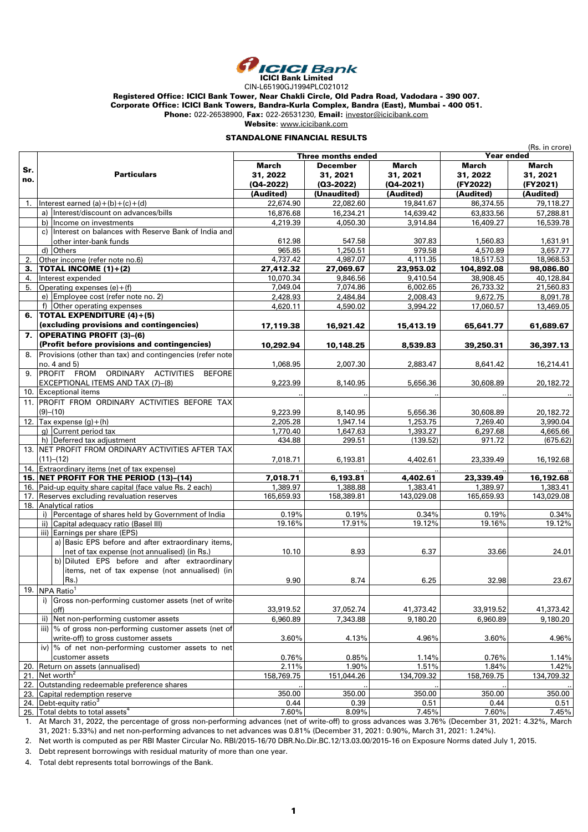

CIN-L65190GJ1994PLC021012

Registered Office: ICICI Bank Tower, Near Chakli Circle, Old Padra Road, Vadodara - 390 007.

Corporate Office: ICICI Bank Towers, Bandra-Kurla Complex, Bandra (East), Mumbai - 400 051.

Phone: 022-26538900, Fax: 022-26531230, Email: investor@icicibank.com

Website: www.icicibank.com

### STANDALONE FINANCIAL RESULTS

|     |                                                                |                    |                 |            | (Rs. in crore) |            |  |
|-----|----------------------------------------------------------------|--------------------|-----------------|------------|----------------|------------|--|
|     |                                                                | Three months ended |                 |            | Year ended     |            |  |
| Sr. |                                                                | <b>March</b>       | <b>December</b> | March      | March          | March      |  |
| no. | <b>Particulars</b>                                             | 31, 2022           | 31, 2021        | 31, 2021   | 31, 2022       | 31, 2021   |  |
|     |                                                                | (Q4-2022)          | $(03-2022)$     | (Q4-2021)  | (FY2022)       | (FY2021)   |  |
|     |                                                                | (Audited)          | (Unaudited)     | (Audited)  | (Audited)      | (Audited)  |  |
| 1.  | Interest earned $(a)+(b)+(c)+(d)$                              | 22,674.90          | 22,082.60       | 19,841.67  | 86,374.55      | 79,118.27  |  |
|     | a) Interest/discount on advances/bills                         | 16,876.68          | 16,234.21       | 14,639.42  | 63,833.56      | 57,288.81  |  |
|     | b) Income on investments                                       | 4,219.39           | 4,050.30        | 3,914.84   | 16,409.27      | 16,539.78  |  |
|     | c) Interest on balances with Reserve Bank of India and         |                    |                 |            |                |            |  |
|     | other inter-bank funds                                         | 612.98             | 547.58          | 307.83     | 1,560.83       | 1,631.91   |  |
|     | d) Others                                                      | 965.85             | 1,250.51        | 979.58     | 4,570.89       | 3,657.77   |  |
| 2.  | Other income (refer note no.6)                                 | 4,737.42           | 4,987.07        | 4,111.35   | 18,517.53      | 18,968.53  |  |
| 3.  | <b>TOTAL INCOME <math>(1)+(2)</math></b>                       | 27,412.32          | 27,069.67       | 23,953.02  | 104,892.08     | 98,086.80  |  |
| 4.  | Interest expended                                              | 10,070.34          | 9,846.56        | 9,410.54   | 38,908.45      | 40,128.84  |  |
| 5.  | Operating expenses (e)+(f)                                     | 7,049.04           | 7,074.86        | 6,002.65   | 26,733.32      | 21,560.83  |  |
|     | e) Employee cost (refer note no. 2)                            | 2,428.93           | 2,484.84        | 2,008.43   | 9,672.75       | 8,091.78   |  |
|     | f) Other operating expenses                                    | 4,620.11           | 4,590.02        | 3,994.22   | 17,060.57      | 13,469.05  |  |
| 6.  | <b>TOTAL EXPENDITURE (4)+(5)</b>                               |                    |                 |            |                |            |  |
|     | (excluding provisions and contingencies)                       | 17,119.38          | 16,921.42       | 15,413.19  | 65,641.77      | 61,689.67  |  |
|     | 7. OPERATING PROFIT (3)-(6)                                    |                    |                 |            |                |            |  |
|     | (Profit before provisions and contingencies)                   | 10,292.94          | 10,148.25       | 8,539.83   | 39,250.31      | 36,397.13  |  |
| 8.  | Provisions (other than tax) and contingencies (refer note      |                    |                 |            |                |            |  |
|     | no. 4 and 5)                                                   | 1,068.95           | 2,007.30        | 2,883.47   | 8,641.42       | 16,214.41  |  |
| 9.  | PROFIT FROM ORDINARY<br><b>ACTIVITIES</b><br><b>BEFORE</b>     |                    |                 |            |                |            |  |
|     | EXCEPTIONAL ITEMS AND TAX (7)-(8)                              | 9,223.99           | 8,140.95        | 5,656.36   | 30,608.89      | 20,182.72  |  |
|     | 10. Exceptional items                                          |                    |                 |            |                |            |  |
|     | 11. PROFIT FROM ORDINARY ACTIVITIES BEFORE TAX                 |                    |                 |            |                |            |  |
|     | (9)–(10)                                                       | 9,223.99           | 8,140.95        | 5,656.36   | 30,608.89      | 20,182.72  |  |
|     | 12. Tax expense $(g) + (h)$                                    | 2,205.28           | 1,947.14        | 1,253.75   | 7,269.40       | 3,990.04   |  |
|     | g) Current period tax                                          | 1,770.40           | 1,647.63        | 1,393.27   | 6,297.68       | 4,665.66   |  |
|     | h) Deferred tax adjustment                                     | 434.88             | 299.51          | (139.52)   | 971.72         | (675.62)   |  |
|     | 13. NET PROFIT FROM ORDINARY ACTIVITIES AFTER TAX              |                    |                 |            |                |            |  |
|     | (11)–(12)                                                      | 7,018.71           | 6,193.81        | 4,402.61   | 23,339.49      | 16,192.68  |  |
|     | 14. Extraordinary items (net of tax expense)                   |                    |                 |            |                |            |  |
|     | 15. NET PROFIT FOR THE PERIOD (13)-(14)                        | 7,018.71           | 6,193.81        | 4,402.61   | 23,339.49      | 16,192.68  |  |
|     | 16. Paid-up equity share capital (face value Rs. 2 each)       | 1,389.97           | 1,388.88        | 1,383.41   | 1,389.97       | 1,383.41   |  |
|     | 17. Reserves excluding revaluation reserves                    | 165,659.93         | 158,389.81      | 143,029.08 | 165,659.93     | 143,029.08 |  |
|     | 18. Analytical ratios                                          |                    |                 |            |                |            |  |
|     | i) Percentage of shares held by Government of India            | 0.19%              | 0.19%           | 0.34%      | 0.19%          | 0.34%      |  |
|     | ii) Capital adequacy ratio (Basel III)                         | 19.16%             | 17.91%          | 19.12%     | 19.16%         | 19.12%     |  |
|     | iii) Earnings per share (EPS)                                  |                    |                 |            |                |            |  |
|     | a) Basic EPS before and after extraordinary items,             |                    |                 |            |                |            |  |
|     | net of tax expense (not annualised) (in Rs.)                   | 10.10              | 8.93            | 6.37       | 33.66          | 24.01      |  |
|     | b) Diluted EPS before and after extraordinary                  |                    |                 |            |                |            |  |
|     | items, net of tax expense (not annualised) (in                 |                    |                 |            |                |            |  |
|     | $Rs.$ )                                                        | 9.90               | 8.74            | 6.25       | 32.98          | 23.67      |  |
|     | 19. NPA Ratio <sup>1</sup>                                     |                    |                 |            |                |            |  |
|     | i) Gross non-performing customer assets (net of write-         |                    |                 |            |                |            |  |
|     | off)                                                           | 33,919.52          | 37,052.74       | 41,373.42  | 33,919.52      | 41,373.42  |  |
|     | ii) Net non-performing customer assets                         | 6,960.89           | 7,343.88        | 9,180.20   | 6,960.89       | 9,180.20   |  |
|     | iii) % of gross non-performing customer assets (net of         |                    |                 |            |                |            |  |
|     | write-off) to gross customer assets                            | 3.60%              | 4.13%           | 4.96%      | 3.60%          | 4.96%      |  |
|     | iv) $\frac{1}{2}$ of net non-performing customer assets to net |                    |                 |            |                |            |  |
|     | customer assets                                                | 0.76%              | 0.85%           | 1.14%      | 0.76%          | 1.14%      |  |
| 20. | Return on assets (annualised)                                  | 2.11%              | 1.90%           | 1.51%      | 1.84%          | 1.42%      |  |
|     | 21. Net worth <sup>2</sup>                                     | 158,769.75         | 151,044.26      | 134,709.32 | 158,769.75     | 134,709.32 |  |
|     | 22. Outstanding redeemable preference shares                   |                    |                 |            |                |            |  |
|     | 23. Capital redemption reserve                                 | 350.00             | 350.00          | 350.00     | 350.00         | 350.00     |  |
|     | 24. Debt-equity ratio <sup>3</sup>                             | 0.44               | 0.39            | 0.51       | 0.44           | 0.51       |  |
|     | 25. Total debts to total assets <sup>4</sup>                   | 7.60%              | 8.09%           | 7.45%      | 7.60%          | 7.45%      |  |

1. At March 31, 2022, the percentage of gross non-performing advances (net of write-off) to gross advances was 3.76% (December 31, 2021: 4.32%, March 31, 2021: 5.33%) and net non-performing advances to net advances was 0.81% (December 31, 2021: 0.90%, March 31, 2021: 1.24%).

2. Net worth is computed as per RBI Master Circular No. RBI/2015-16/70 DBR.No.Dir.BC.12/13.03.00/2015-16 on Exposure Norms dated July 1, 2015.

3. Debt represent borrowings with residual maturity of more than one year.

4. Total debt represents total borrowings of the Bank.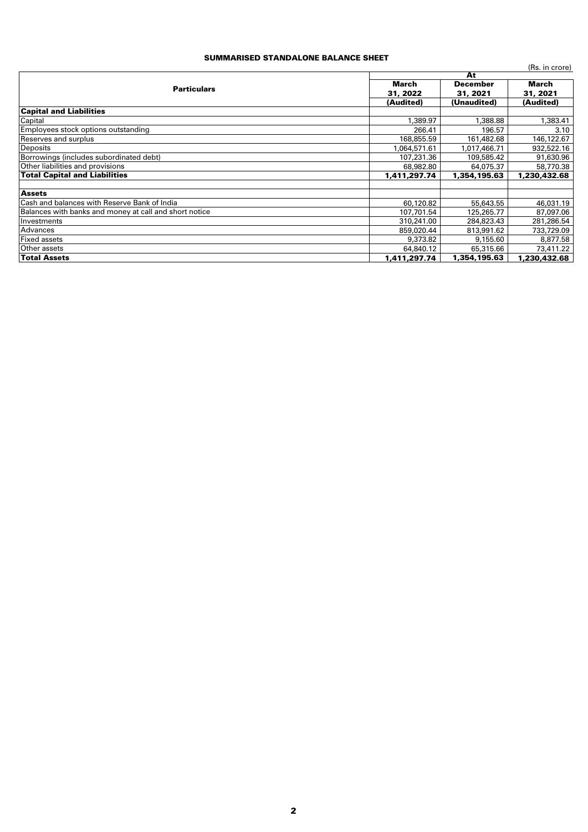### SUMMARISED STANDALONE BALANCE SHEET

|                                                        |              |                 | (Rs. in crore) |  |
|--------------------------------------------------------|--------------|-----------------|----------------|--|
|                                                        |              | At              |                |  |
| <b>Particulars</b>                                     | March        | <b>December</b> | March          |  |
|                                                        | 31, 2022     | 31, 2021        | 31, 2021       |  |
|                                                        | (Audited)    | (Unaudited)     | (Audited)      |  |
| <b>Capital and Liabilities</b>                         |              |                 |                |  |
| Capital                                                | 1,389.97     | 1,388.88        | 1,383.41       |  |
| Employees stock options outstanding                    | 266.41       | 196.57          | 3.10           |  |
| Reserves and surplus                                   | 168,855.59   | 161,482.68      | 146,122.67     |  |
| Deposits                                               | 1.064.571.61 | 1,017,466.71    | 932,522.16     |  |
| Borrowings (includes subordinated debt)                | 107,231.36   | 109,585.42      | 91,630.96      |  |
| Other liabilities and provisions                       | 68,982.80    | 64,075.37       | 58,770.38      |  |
| <b>Total Capital and Liabilities</b>                   | 1,411,297.74 | 1,354,195.63    | 1,230,432.68   |  |
|                                                        |              |                 |                |  |
| <b>Assets</b>                                          |              |                 |                |  |
| <b>Cash and balances with Reserve Bank of India</b>    | 60,120.82    | 55,643.55       | 46,031.19      |  |
| Balances with banks and money at call and short notice | 107,701.54   | 125,265.77      | 87,097.06      |  |
| Investments                                            | 310,241.00   | 284,823.43      | 281,286.54     |  |
| Advances                                               | 859,020.44   | 813,991.62      | 733,729.09     |  |
| <b>Fixed assets</b>                                    | 9,373,82     | 9,155,60        | 8,877.58       |  |
| Other assets                                           | 64,840.12    | 65,315,66       | 73,411.22      |  |
| <b>Total Assets</b>                                    | 1,411,297.74 | 1,354,195.63    | 1,230,432.68   |  |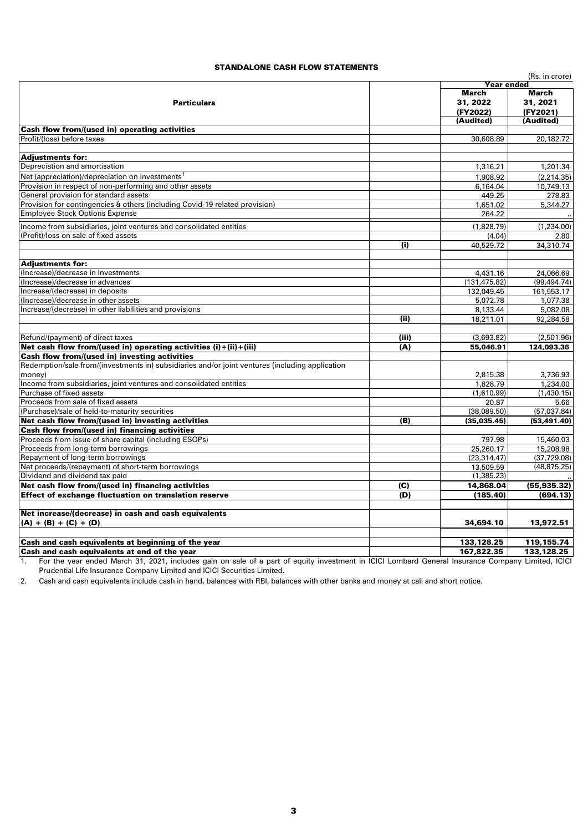#### STANDALONE CASH FLOW STATEMENTS

|                                                                                                 |       |               | (Rs. in crore) |  |
|-------------------------------------------------------------------------------------------------|-------|---------------|----------------|--|
|                                                                                                 |       | Year ended    |                |  |
|                                                                                                 |       | March         | March          |  |
| <b>Particulars</b>                                                                              |       | 31, 2022      | 31, 2021       |  |
|                                                                                                 |       | (FY2022)      | (FY2021)       |  |
|                                                                                                 |       | (Audited)     | (Audited)      |  |
| Cash flow from/(used in) operating activities                                                   |       |               |                |  |
| Profit/(loss) before taxes                                                                      |       | 30,608.89     | 20,182.72      |  |
| <b>Adjustments for:</b>                                                                         |       |               |                |  |
| Depreciation and amortisation                                                                   |       | 1,316.21      | 1,201.34       |  |
| Net (appreciation)/depreciation on investments <sup>1</sup>                                     |       | 1,908.92      | (2, 214.35)    |  |
| Provision in respect of non-performing and other assets                                         |       | 6,164.04      | 10,749.13      |  |
| General provision for standard assets                                                           |       | 449.25        | 278.83         |  |
| Provision for contingencies & others (including Covid-19 related provision)                     |       | 1,651.02      | 5,344.27       |  |
| <b>Employee Stock Options Expense</b>                                                           |       | 264.22        |                |  |
|                                                                                                 |       |               |                |  |
| Income from subsidiaries, joint ventures and consolidated entities                              |       | (1,828.79)    | (1,234.00)     |  |
| (Profit)/loss on sale of fixed assets                                                           |       | (4.04)        | 2.80           |  |
|                                                                                                 | (i)   | 40,529.72     | 34,310.74      |  |
| <b>Adjustments for:</b>                                                                         |       |               |                |  |
| (Increase)/decrease in investments                                                              |       | 4,431.16      | 24,066.69      |  |
| (Increase)/decrease in advances                                                                 |       | (131, 475.82) | (99, 494.74)   |  |
| Increase/(decrease) in deposits                                                                 |       | 132,049.45    | 161,553.17     |  |
| (Increase)/decrease in other assets                                                             |       | 5,072.78      | 1,077.38       |  |
| Increase/(decrease) in other liabilities and provisions                                         |       | 8,133.44      | 5,082.08       |  |
|                                                                                                 | (ii)  | 18,211.01     | 92,284.58      |  |
| Refund/(payment) of direct taxes                                                                | (iii) | (3,693.82)    | (2,501.96)     |  |
| Net cash flow from/(used in) operating activities $(i) + (ii) + (iii)$                          | (A)   | 55,046.91     | 124,093.36     |  |
| Cash flow from/(used in) investing activities                                                   |       |               |                |  |
| Redemption/sale from/(investments in) subsidiaries and/or joint ventures (including application |       |               |                |  |
| money)                                                                                          |       | 2,815.38      | 3,736.93       |  |
| Income from subsidiaries, joint ventures and consolidated entities                              |       | 1,828.79      | 1,234.00       |  |
| Purchase of fixed assets                                                                        |       | (1,610.99)    | (1,430.15)     |  |
| Proceeds from sale of fixed assets                                                              |       | 20.87         | 5.66           |  |
| (Purchase)/sale of held-to-maturity securities                                                  |       | (38,089.50)   | (57,037.84)    |  |
| Net cash flow from/(used in) investing activities                                               | (B)   | (35,035.45)   | (53, 491.40)   |  |
| <b>Cash flow from/(used in) financing activities</b>                                            |       |               |                |  |
| Proceeds from issue of share capital (including ESOPs)                                          |       | 797.98        | 15,460.03      |  |
| Proceeds from long-term borrowings                                                              |       | 25,260.17     | 15,208.98      |  |
| Repayment of long-term borrowings                                                               |       | (23, 314.47)  | (37, 729.08)   |  |
| Net proceeds/(repayment) of short-term borrowings                                               |       | 13,509.59     | (48, 875.25)   |  |
| Dividend and dividend tax paid                                                                  |       | (1,385.23)    |                |  |
| Net cash flow from/(used in) financing activities                                               | (C)   | 14,868.04     | (55, 935.32)   |  |
| <b>Effect of exchange fluctuation on translation reserve</b>                                    | (D)   | (185.40)      | (694.13)       |  |
|                                                                                                 |       |               |                |  |
| Net increase/(decrease) in cash and cash equivalents                                            |       |               |                |  |
| $(A) + (B) + (C) + (D)$                                                                         |       | 34,694.10     | 13,972.51      |  |
| Cash and cash equivalents at beginning of the year                                              |       | 133,128.25    | 119,155.74     |  |
| Cash and cash equivalents at end of the year                                                    |       | 167,822.35    | 133,128.25     |  |

1. For the year ended March 31, 2021, includes gain on sale of a part of equity investment in ICICI Lombard General Insurance Company Limited, ICICI Prudential Life Insurance Company Limited and ICICI Securities Limited.

2. Cash and cash equivalents include cash in hand, balances with RBI, balances with other banks and money at call and short notice.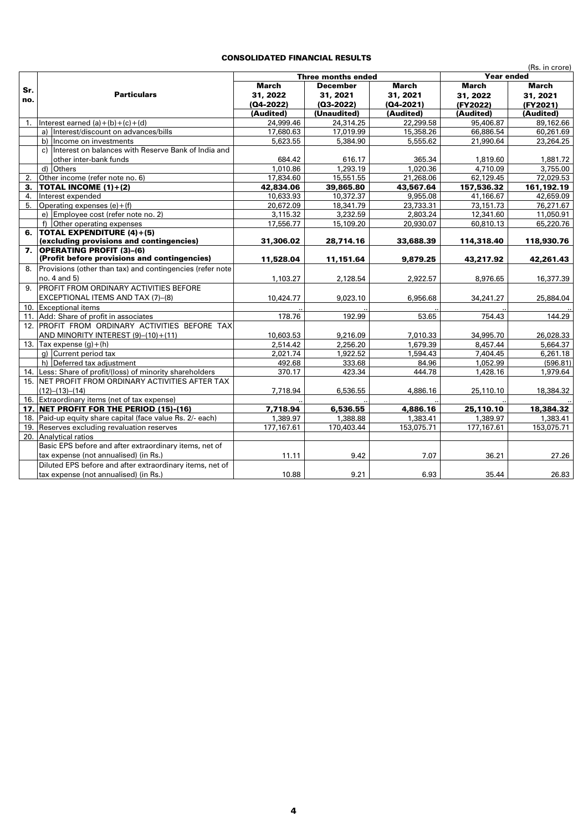## CONSOLIDATED FINANCIAL RESULTS

|     | (Rs. in crore)                                             |               |                    |               |            |              |
|-----|------------------------------------------------------------|---------------|--------------------|---------------|------------|--------------|
|     |                                                            |               | Three months ended | Year ended    |            |              |
| Sr. |                                                            | March         | <b>December</b>    | <b>March</b>  | March      | <b>March</b> |
| no. | <b>Particulars</b>                                         | 31, 2022      | 31, 2021           | 31, 2021      | 31, 2022   | 31, 2021     |
|     |                                                            | $(Q4 - 2022)$ | $(Q3-2022)$        | $(Q4 - 2021)$ | (FY2022)   | (FY2021)     |
|     |                                                            | (Audited)     | (Unaudited)        | (Audited)     | (Audited)  | (Audited)    |
| 1.  | Interest earned $(a)+(b)+(c)+(d)$                          | 24,999.46     | 24,314.25          | 22,299.58     | 95,406.87  | 89,162.66    |
|     | a) Interest/discount on advances/bills                     | 17,680.63     | 17,019.99          | 15,358.26     | 66,886.54  | 60,261.69    |
|     | b) Income on investments                                   | 5,623.55      | 5,384.90           | 5,555.62      | 21,990.64  | 23,264.25    |
|     | Interest on balances with Reserve Bank of India and<br>c)  |               |                    |               |            |              |
|     | other inter-bank funds                                     | 684.42        | 616.17             | 365.34        | 1,819.60   | 1,881.72     |
|     | d) Others                                                  | 1,010.86      | 1,293.19           | 1.020.36      | 4,710.09   | 3,755,00     |
| 2.  | Other income (refer note no. 6)                            | 17,834.60     | 15,551.55          | 21,268.06     | 62,129.45  | 72,029.53    |
| 3.  | <b>TOTAL INCOME <math>(1)+(2)</math></b>                   | 42,834.06     | 39,865.80          | 43,567.64     | 157,536.32 | 161,192.19   |
| 4.  | Interest expended                                          | 10,633.93     | 10,372.37          | 9,955.08      | 41,166.67  | 42,659.09    |
| 5.  | Operating expenses $(e) + (f)$                             | 20,672.09     | 18,341.79          | 23,733.31     | 73,151.73  | 76,271.67    |
|     | e) Employee cost (refer note no. 2)                        | 3,115.32      | 3,232.59           | 2,803.24      | 12,341.60  | 11,050.91    |
|     | f) Other operating expenses                                | 17,556.77     | 15,109.20          | 20,930.07     | 60,810.13  | 65,220.76    |
| 6.  | <b>TOTAL EXPENDITURE (4)+(5)</b>                           |               |                    |               |            |              |
|     | (excluding provisions and contingencies)                   | 31,306.02     | 28,714.16          | 33,688.39     | 114,318.40 | 118,930.76   |
| 7.  | <b>OPERATING PROFIT (3)-(6)</b>                            |               |                    |               |            |              |
|     | (Profit before provisions and contingencies)               | 11,528.04     | 11,151.64          | 9,879.25      | 43,217.92  | 42,261.43    |
| 8.  | Provisions (other than tax) and contingencies (refer note  |               |                    |               |            |              |
|     | no. 4 and 5)                                               | 1,103.27      | 2,128.54           | 2.922.57      | 8,976.65   | 16,377.39    |
| 9.  | PROFIT FROM ORDINARY ACTIVITIES BEFORE                     |               |                    |               |            |              |
|     | EXCEPTIONAL ITEMS AND TAX (7)-(8)                          | 10,424.77     | 9,023.10           | 6,956.68      | 34,241.27  | 25,884.04    |
|     | 10. Exceptional items                                      |               |                    |               |            |              |
|     | 11. Add: Share of profit in associates                     | 178.76        | 192.99             | 53.65         | 754.43     | 144.29       |
|     | 12. PROFIT FROM ORDINARY ACTIVITIES BEFORE TAX             |               |                    |               |            |              |
|     | AND MINORITY INTEREST (9)-(10)+(11)                        | 10,603.53     | 9,216.09           | 7,010.33      | 34,995.70  | 26,028.33    |
|     | 13. Tax expense $(q) + (h)$                                | 2,514.42      | 2,256.20           | 1,679.39      | 8,457.44   | 5,664.37     |
|     | g) Current period tax                                      | 2,021.74      | 1,922.52           | 1,594.43      | 7,404.45   | 6,261.18     |
|     | h) Deferred tax adjustment                                 | 492.68        | 333.68             | 84.96         | 1,052.99   | (596.81)     |
|     | 14. Less: Share of profit/(loss) of minority shareholders  | 370.17        | 423.34             | 444.78        | 1,428.16   | 1,979.64     |
|     | 15. INET PROFIT FROM ORDINARY ACTIVITIES AFTER TAX         |               |                    |               |            |              |
|     | $(12) - (13) - (14)$                                       | 7,718.94      | 6,536.55           | 4,886.16      | 25,110.10  | 18,384.32    |
|     | 16. Extraordinary items (net of tax expense)               |               |                    |               |            |              |
|     | 17. NET PROFIT FOR THE PERIOD (15)-(16)                    | 7,718.94      | 6,536.55           | 4,886.16      | 25,110.10  | 18,384.32    |
|     | 18. Paid-up equity share capital (face value Rs. 2/- each) | 1,389.97      | 1,388.88           | 1,383,41      | 1,389.97   | 1,383,41     |
|     | 19. Reserves excluding revaluation reserves                | 177,167.61    | 170,403.44         | 153,075.71    | 177,167.61 | 153,075.71   |
|     | 20. Analytical ratios                                      |               |                    |               |            |              |
|     | Basic EPS before and after extraordinary items, net of     |               |                    |               |            |              |
|     | tax expense (not annualised) (in Rs.)                      | 11.11         | 9.42               | 7.07          | 36.21      | 27.26        |
|     | Diluted EPS before and after extraordinary items, net of   |               |                    |               |            |              |
|     | tax expense (not annualised) (in Rs.)                      | 10.88         | 9.21               | 6.93          | 35.44      | 26.83        |
|     |                                                            |               |                    |               |            |              |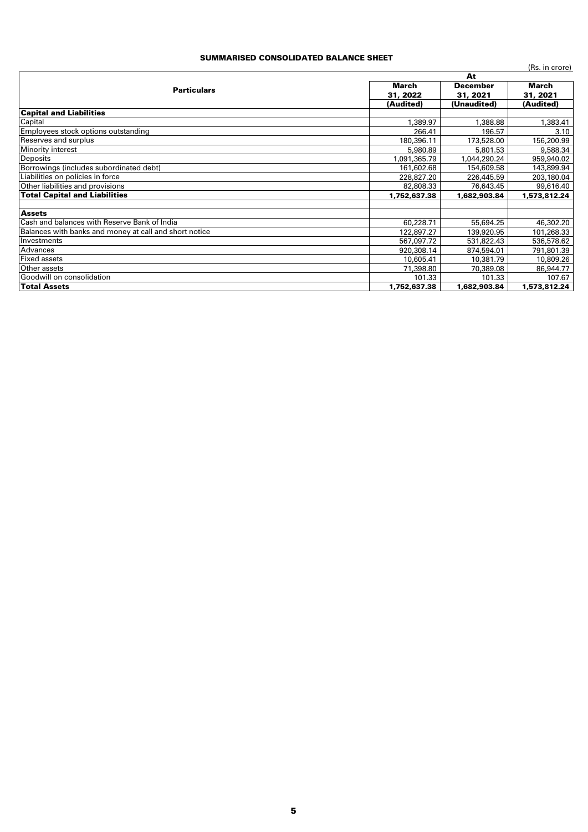## SUMMARISED CONSOLIDATED BALANCE SHEET

|                                                        |              |                 | (Rs. in crore) |  |
|--------------------------------------------------------|--------------|-----------------|----------------|--|
|                                                        |              | At              |                |  |
| <b>Particulars</b>                                     | March        | <b>December</b> | March          |  |
|                                                        | 31, 2022     | 31, 2021        | 31, 2021       |  |
|                                                        | (Audited)    | (Unaudited)     | (Audited)      |  |
| <b>Capital and Liabilities</b>                         |              |                 |                |  |
| Capital                                                | 1,389.97     | 1,388.88        | 1,383.41       |  |
| Employees stock options outstanding                    | 266.41       | 196.57          | 3.10           |  |
| <b>Reserves and surplus</b>                            | 180,396.11   | 173,528.00      | 156,200.99     |  |
| <b>Minority interest</b>                               | 5,980.89     | 5,801.53        | 9,588.34       |  |
| <b>Deposits</b>                                        | 091,365.79   | 1,044,290.24    | 959,940.02     |  |
| Borrowings (includes subordinated debt)                | 161,602.68   | 154,609.58      | 143,899.94     |  |
| Liabilities on policies in force                       | 228,827.20   | 226,445.59      | 203,180.04     |  |
| Other liabilities and provisions                       | 82,808.33    | 76,643.45       | 99,616.40      |  |
| <b>Total Capital and Liabilities</b>                   | 1,752,637.38 | 1,682,903.84    | 1,573,812.24   |  |
|                                                        |              |                 |                |  |
| <b>Assets</b>                                          |              |                 |                |  |
| <b>Cash and balances with Reserve Bank of India</b>    | 60,228.71    | 55,694.25       | 46,302.20      |  |
| Balances with banks and money at call and short notice | 122,897.27   | 139,920.95      | 101,268.33     |  |
| Investments                                            | 567,097.72   | 531,822,43      | 536,578.62     |  |
| Advances                                               | 920,308.14   | 874,594.01      | 791,801.39     |  |
| <b>Fixed assets</b>                                    | 10,605.41    | 10,381.79       | 10,809.26      |  |
| Other assets                                           | 71,398.80    | 70,389.08       | 86,944.77      |  |
| Goodwill on consolidation                              | 101.33       | 101.33          | 107.67         |  |
| <b>Total Assets</b>                                    | 1,752,637.38 | 1,682,903.84    | 1,573,812.24   |  |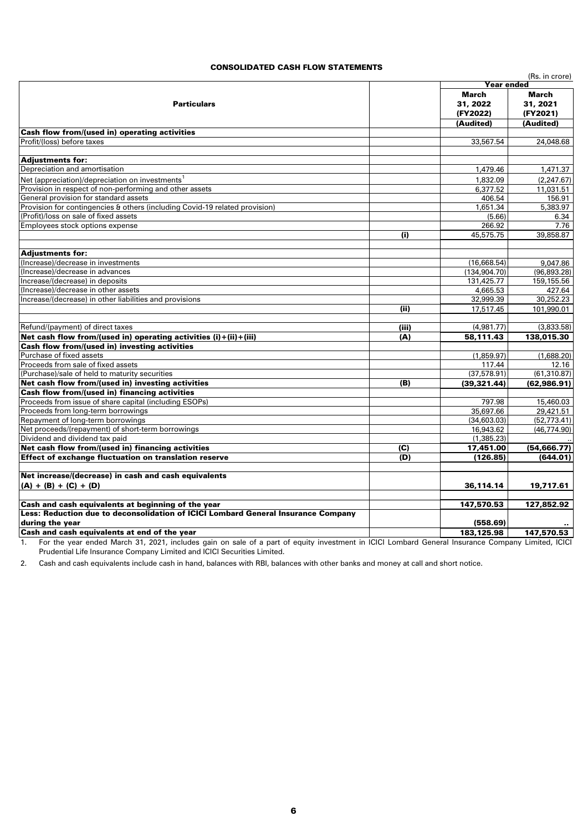### CONSOLIDATED CASH FLOW STATEMENTS

|                                                                                   |       |                   | (Rs. in crore) |  |
|-----------------------------------------------------------------------------------|-------|-------------------|----------------|--|
|                                                                                   |       | <b>Year ended</b> |                |  |
|                                                                                   |       | March             | <b>March</b>   |  |
| <b>Particulars</b>                                                                |       | 31, 2022          | 31, 2021       |  |
|                                                                                   |       | (FY2022)          | (FY2021)       |  |
|                                                                                   |       | (Audited)         | (Audited)      |  |
| <b>Cash flow from/(used in) operating activities</b>                              |       |                   |                |  |
| Profit/(loss) before taxes                                                        |       | 33,567.54         | 24,048.68      |  |
|                                                                                   |       |                   |                |  |
| <b>Adjustments for:</b>                                                           |       |                   |                |  |
| Depreciation and amortisation                                                     |       | 1,479.46          | 1,471.37       |  |
| Net (appreciation)/depreciation on investments <sup>1</sup>                       |       | 1,832.09          | (2, 247.67)    |  |
| Provision in respect of non-performing and other assets                           |       | 6,377.52          | 11,031.51      |  |
| General provision for standard assets                                             |       | 406.54            | 156.91         |  |
| Provision for contingencies & others (including Covid-19 related provision)       |       | 1,651.34          | 5,383,97       |  |
| (Profit)/loss on sale of fixed assets                                             |       | (5.66)            | 6.34           |  |
| Employees stock options expense                                                   |       | 266.92            | 7.76           |  |
|                                                                                   | (i)   | 45,575.75         | 39,858.87      |  |
|                                                                                   |       |                   |                |  |
| <b>Adjustments for:</b>                                                           |       |                   |                |  |
| (Increase)/decrease in investments                                                |       | (16,668.54)       | 9,047.86       |  |
| (Increase)/decrease in advances                                                   |       | (134, 904.70)     | (96, 893.28)   |  |
| Increase/(decrease) in deposits                                                   |       | 131,425.77        | 159,155.56     |  |
| (Increase)/decrease in other assets                                               |       | 4,665.53          | 427.64         |  |
| Increase/(decrease) in other liabilities and provisions                           |       | 32,999.39         | 30,252.23      |  |
|                                                                                   | (ii)  | 17,517.45         | 101,990.01     |  |
| Refund/(payment) of direct taxes                                                  | (iii) | (4,981.77)        | (3,833.58)     |  |
| Net cash flow from/(used in) operating activities (i)+(ii)+(iii)                  | (A)   | 58,111.43         | 138,015.30     |  |
| Cash flow from/(used in) investing activities                                     |       |                   |                |  |
| Purchase of fixed assets                                                          |       | (1,859.97)        | (1,688.20)     |  |
| Proceeds from sale of fixed assets                                                |       | 117.44            | 12.16          |  |
| (Purchase)/sale of held to maturity securities                                    |       | (37.578.91)       | (61, 310.87)   |  |
| Net cash flow from/(used in) investing activities                                 | (B)   | (39, 321.44)      | (62,986.91)    |  |
| Cash flow from/(used in) financing activities                                     |       |                   |                |  |
| Proceeds from issue of share capital (including ESOPs)                            |       | 797.98            | 15,460.03      |  |
| Proceeds from long-term borrowings                                                |       | 35,697.66         | 29,421.51      |  |
| Repayment of long-term borrowings                                                 |       | (34,603.03)       | (52, 773.41)   |  |
| Net proceeds/(repayment) of short-term borrowings                                 |       | 16,943.62         | (46.774.90)    |  |
| Dividend and dividend tax paid                                                    |       | (1,385.23)        |                |  |
| Net cash flow from/(used in) financing activities                                 | (C)   | 17,451.00         | (54, 666.77)   |  |
| Effect of exchange fluctuation on translation reserve                             | (D)   | (126.85)          | (644.01)       |  |
|                                                                                   |       |                   |                |  |
| Net increase/(decrease) in cash and cash equivalents                              |       |                   |                |  |
| $(A) + (B) + (C) + (D)$                                                           |       | 36,114.14         | 19,717.61      |  |
| Cash and cash equivalents at beginning of the year                                |       | 147,570.53        | 127,852.92     |  |
| Less: Reduction due to deconsolidation of ICICI Lombard General Insurance Company |       |                   |                |  |
| during the year                                                                   |       | (558.69)          |                |  |
| Cash and cash equivalents at end of the year                                      |       | 183.125.98        | 147,570.53     |  |

1. For the year ended March 31, 2021, includes gain on sale of a part of equity investment in ICICI Lombard General Insurance Company Limited, ICICI Prudential Life Insurance Company Limited and ICICI Securities Limited.

2. Cash and cash equivalents include cash in hand, balances with RBI, balances with other banks and money at call and short notice.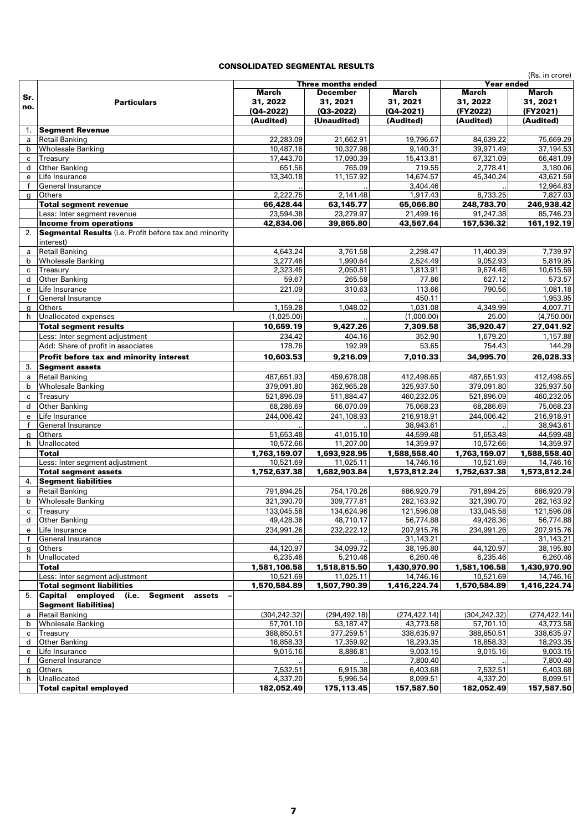# CONSOLIDATED SEGMENTAL RESULTS

|                   | SOLIDA I LD SLGIVILIV I AL NLS                                |                        |                        |                        |                        | (Rs. in crore)         |
|-------------------|---------------------------------------------------------------|------------------------|------------------------|------------------------|------------------------|------------------------|
|                   |                                                               |                        | Three months ended     |                        | Year ended             |                        |
| Sr.               |                                                               | March                  | December               | March                  | March                  | March                  |
| no.               | <b>Particulars</b>                                            | 31, 2022               | 31, 2021               | 31, 2021               | 31, 2022               | 31, 2021               |
|                   |                                                               | (Q4-2022)              | $(03-2022)$            | $(Q4 - 2021)$          | (FY2022)               | (FY2021)               |
|                   |                                                               | (Audited)              | (Unaudited)            | (Audited)              | (Audited)              | (Audited)              |
| 1.                | <b>Segment Revenue</b>                                        |                        |                        |                        |                        |                        |
| a                 | <b>Retail Banking</b>                                         | 22,283.09<br>10,487.16 | 21,662.91<br>10,327.98 | 19,796.67              | 84,639.22<br>39,971.49 | 75,669.29              |
| b<br>c            | <b>Wholesale Banking</b><br>Treasury                          | 17,443.70              | 17,090.39              | 9,140.31<br>15,413.81  | 67,321.09              | 37,194.53<br>66,481.09 |
| d                 | <b>Other Banking</b>                                          | 651.56                 | 765.09                 | 719.55                 | 2,778.41               | 3,180.06               |
| e                 | Life Insurance                                                | 13,340.18              | 11,157.92              | 14,674.57              | 45,340.24              | 43,621.59              |
| $\mathbf{f}$      | General Insurance                                             |                        |                        | 3,404.46               |                        | 12,964.83              |
| $\mathbf{q}$      | <b>Others</b>                                                 | 2,222.75               | 2,141.48               | 1,917.43               | 8,733.25               | 7,827.03               |
|                   | <b>Total segment revenue</b>                                  | 66,428.44              | 63,145.77              | 65,066.80              | 248,783.70             | 246,938.42             |
|                   | Less: Inter segment revenue                                   | 23,594.38              | 23,279.97              | 21,499.16              | 91,247.38              | 85,746.23              |
|                   | <b>Income from operations</b>                                 | 42,834.06              | 39,865.80              | 43,567.64              | 157,536.32             | 161,192.19             |
| 2.                | <b>Segmental Results</b> (i.e. Profit before tax and minority |                        |                        |                        |                        |                        |
|                   | interest)                                                     |                        |                        |                        |                        |                        |
| a                 | <b>Retail Banking</b>                                         | 4,643.24               | 3,761.58               | 2,298.47               | 11,400.39              | 7,739.97               |
| b                 | <b>Wholesale Banking</b>                                      | 3,277.46               | 1,990.64               | 2,524.49               | 9.052.93               | 5,819.95               |
| $\mathbf c$       | Treasury                                                      | 2,323.45               | 2,050.81               | 1,813.91               | 9,674.48               | 10,615.59              |
| d                 | <b>Other Banking</b>                                          | 59.67                  | 265.58                 | 77.86                  | 627.12                 | 573.57                 |
| e                 | Life Insurance                                                | 221.09                 | 310.63                 | 113.66                 | 790.56                 | 1,081.18               |
| $\mathbf{f}$      | General Insurance                                             |                        |                        | 450.11                 |                        | 1,953.95               |
| g                 | Others                                                        | 1,159.28               | 1,048.02               | 1,031.08               | 4,349.99               | 4,007.71               |
| h.                | Unallocated expenses                                          | (1,025.00)             |                        | (1,000.00)             | 25.00                  | (4,750.00)             |
|                   | <b>Total segment results</b>                                  | 10,659.19              | 9,427.26               | 7,309.58               | 35,920.47              | 27,041.92              |
|                   | Less: Inter seament adiustment                                | 234.42                 | 404.16                 | 352.90                 | 1,679.20               | 1,157.88               |
|                   | Add: Share of profit in associates                            | 178.76                 | 192.99                 | 53.65                  | 754.43                 | 144.29                 |
|                   | Profit before tax and minority interest                       | 10,603.53              | 9,216.09               | 7,010.33               | 34,995.70              | 26,028.33              |
| 3.                | <b>Segment assets</b>                                         |                        |                        |                        |                        |                        |
| a                 | <b>Retail Banking</b>                                         | 487,651.93             | 459,678.08             | 412,498.65             | 487,651.93             | 412,498.65             |
| b                 | <b>Wholesale Banking</b>                                      | 379,091.80             | 362,965.28             | 325,937.50             | 379,091.80             | 325,937.50             |
| c                 | Treasury                                                      | 521,896.09             | 511,884.47             | 460,232.05             | 521,896.09             | 460,232.05             |
| d                 | <b>Other Banking</b>                                          | 68,286.69              | 66,070.09              | 75,068.23              | 68,286.69              | 75,068.23              |
| e                 | Life Insurance                                                | 244,006.42             | 241,108.93             | 216,918.91             | 244,006.42             | 216,918.91             |
| $\mathsf{f}$      | General Insurance                                             |                        |                        | 38,943.61              |                        | 38,943.61              |
| g                 | Others                                                        | 51,653.48              | 41,015.10              | 44,599.48              | 51,653.48              | 44,599.48              |
| h                 | Unallocated                                                   | 10,572.66              | 11,207.00              | 14,359.97              | 10,572.66              | 14,359.97              |
|                   | Total                                                         | 1,763,159.07           | 1,693,928.95           | 1,588,558.40           | 1,763,159.07           | 1,588,558.40           |
|                   | Less: Inter segment adjustment                                | 10,521.69              | 11,025.11              | 14,746.16              | 10,521.69              | 14,746.16              |
|                   | <b>Total segment assets</b>                                   | 1,752,637.38           | 1,682,903.84           | 1,573,812.24           | 1,752,637.38           | 1,573,812.24           |
| 4.                | <b>Segment liabilities</b>                                    |                        |                        |                        |                        |                        |
| a                 | <b>Retail Banking</b>                                         | 791,894.25             | 754,170.26             | 686,920.79             | 791,894.25             | 686,920.79             |
| $\mathbf b$       | <b>Wholesale Banking</b>                                      | 321,390.70             | 309,777.81             | 282,163.92             | 321,390.70             | 282,163.92             |
| c                 | Treasury                                                      | 133,045.58             | 134,624.96             | 121,596.08             | 133,045.58             | 121,596.08             |
| d                 | Other Banking                                                 | 49,428.36              | 48,710.17              | 56,774.88              | 49,428.36              | 56,774.88              |
| e                 | Life Insurance                                                | 234,991.26             | 232,222.12             | 207,915.76             | 234,991.26             | 207,915.76             |
| f                 | General Insurance                                             | 44,120.97              | 34,099.72              | 31,143.21<br>38,195.80 | 44,120.97              | 31,143.21<br>38,195.80 |
| $\mathbf{q}$<br>h | Others<br>Unallocated                                         | 6,235.46               | 5,210.46               | 6,260.46               | 6,235.46               | 6,260.46               |
|                   | <b>Total</b>                                                  | 1,581,106.58           | 1,518,815.50           | 1,430,970.90           | 1,581,106.58           | 1,430,970.90           |
|                   | Less: Inter segment adjustment                                | 10,521.69              | 11,025.11              | 14,746.16              | 10,521.69              | 14,746.16              |
|                   | <b>Total segment liabilities</b>                              | 1,570,584.89           | 1,507,790.39           | 1,416,224.74           | 1,570,584.89           | 1,416,224.74           |
|                   | 5. Capital employed (i.e.<br>Segment<br>assets                |                        |                        |                        |                        |                        |
|                   | <b>Segment liabilities)</b>                                   |                        |                        |                        |                        |                        |
| a                 | <b>Retail Banking</b>                                         | (304, 242.32)          | (294, 492, 18)         | (274, 422.14)          | (304, 242.32)          | (274, 422.14)          |
| b                 | <b>Wholesale Banking</b>                                      | 57,701.10              | 53,187.47              | 43,773.58              | 57,701.10              | 43,773.58              |
| $\mathbf{C}$      | Treasury                                                      | 388,850.51             | 377,259.51             | 338,635.97             | 388,850.51             | 338,635.97             |
| d                 | <b>Other Banking</b>                                          | 18,858.33              | 17,359.92              | 18,293.35              | 18,858.33              | 18,293.35              |
| e                 | Life Insurance                                                | 9,015.16               | 8,886.81               | 9,003.15               | 9,015.16               | 9,003.15               |
| $\mathsf{f}$      | General Insurance                                             |                        |                        | 7,800.40               |                        | 7,800.40               |
| g                 | Others                                                        | 7,532.51               | 6,915.38               | 6,403.68               | 7,532.51               | 6,403.68               |
| h                 | Unallocated                                                   | 4,337.20               | 5,996.54               | 8,099.51               | 4,337.20               | 8,099.51               |
|                   | <b>Total capital employed</b>                                 | 182,052.49             | 175,113.45             | 157,587.50             | 182,052.49             | 157,587.50             |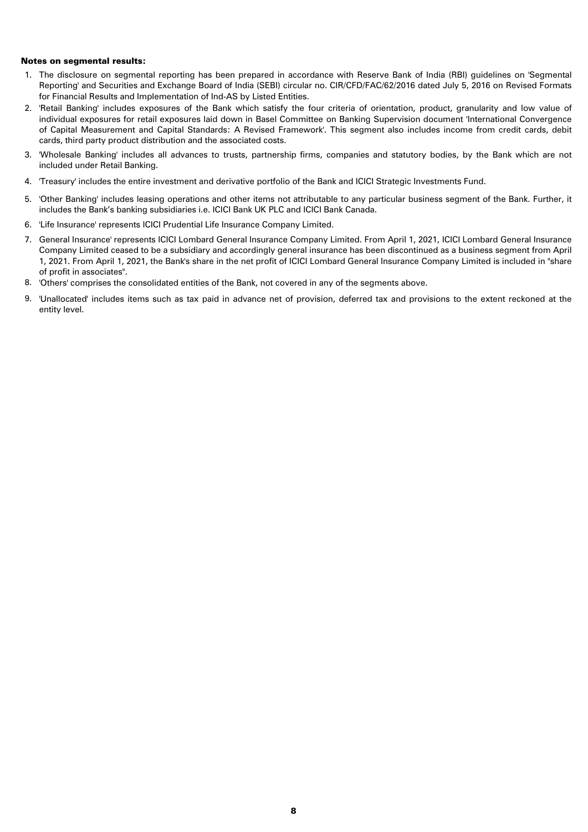#### Notes on segmental results:

- 1. The disclosure on segmental reporting has been prepared in accordance with Reserve Bank of India (RBI) guidelines on 'Segmental Reporting' and Securities and Exchange Board of India (SEBI) circular no. CIR/CFD/FAC/62/2016 dated July 5, 2016 on Revised Formats for Financial Results and Implementation of Ind-AS by Listed Entities.
- 2. 'Retail Banking' includes exposures of the Bank which satisfy the four criteria of orientation, product, granularity and low value of individual exposures for retail exposures laid down in Basel Committee on Banking Supervision document 'International Convergence of Capital Measurement and Capital Standards: A Revised Framework'. This segment also includes income from credit cards, debit cards, third party product distribution and the associated costs.
- 3. 'Wholesale Banking' includes all advances to trusts, partnership firms, companies and statutory bodies, by the Bank which are not included under Retail Banking.
- 4. 'Treasury' includes the entire investment and derivative portfolio of the Bank and ICICI Strategic Investments Fund.
- 5. 'Other Banking' includes leasing operations and other items not attributable to any particular business segment of the Bank. Further, it includes the Bank's banking subsidiaries i.e. ICICI Bank UK PLC and ICICI Bank Canada.
- 6. 'Life Insurance' represents ICICI Prudential Life Insurance Company Limited.
- 7. General Insurance' represents ICICI Lombard General Insurance Company Limited. From April 1, 2021, ICICI Lombard General Insurance Company Limited ceased to be a subsidiary and accordingly general insurance has been discontinued as a business segment from April 1, 2021. From April 1, 2021, the Bank's share in the net profit of ICICI Lombard General Insurance Company Limited is included in "share of profit in associates".
- 8. 'Others' comprises the consolidated entities of the Bank, not covered in any of the segments above.
- 9. 'Unallocated' includes items such as tax paid in advance net of provision, deferred tax and provisions to the extent reckoned at the entity level.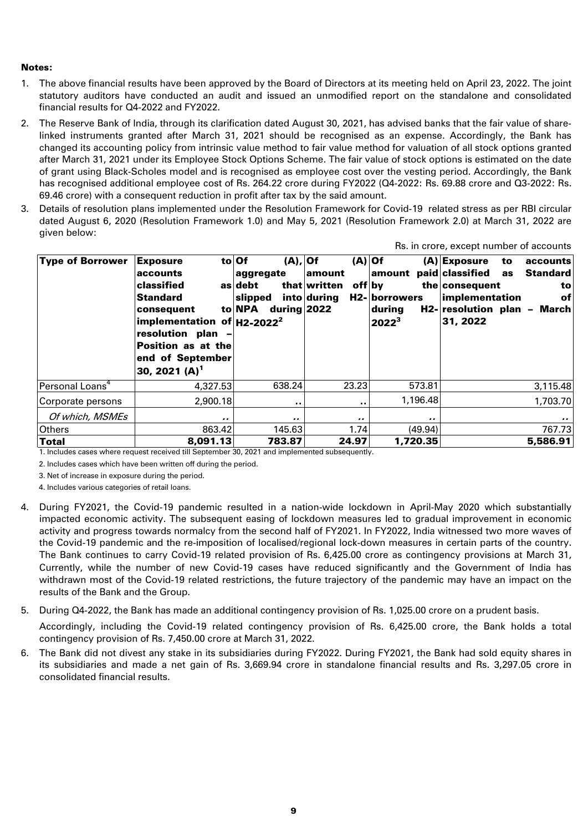## Notes:

- 1. The above financial results have been approved by the Board of Directors at its meeting held on April 23, 2022. The joint statutory auditors have conducted an audit and issued an unmodified report on the standalone and consolidated financial results for Q4-2022 and FY2022.
- 2. The Reserve Bank of India, through its clarification dated August 30, 2021, has advised banks that the fair value of sharelinked instruments granted after March 31, 2021 should be recognised as an expense. Accordingly, the Bank has changed its accounting policy from intrinsic value method to fair value method for valuation of all stock options granted after March 31, 2021 under its Employee Stock Options Scheme. The fair value of stock options is estimated on the date of grant using Black-Scholes model and is recognised as employee cost over the vesting period. Accordingly, the Bank has recognised additional employee cost of Rs. 264.22 crore during FY2022 (Q4-2022: Rs. 69.88 crore and Q3-2022: Rs. 69.46 crore) with a consequent reduction in profit after tax by the said amount.
- 3. Details of resolution plans implemented under the Resolution Framework for Covid-19 related stress as per RBI circular dated August 6, 2020 (Resolution Framework 1.0) and May 5, 2021 (Resolution Framework 2.0) at March 31, 2022 are given below:

| <b>Type of Borrower</b>     | <b>Exposure</b><br>accounts<br>classified<br><b>Standard</b><br>consequent<br>implementation of $H2-2022^2$<br>resolution plan -<br><b>Position as at the</b><br>end of September<br>30, 2021 (A) <sup>1</sup> | (A),  Of<br>to Of<br>aggregate<br>as debt<br>slipped<br>to NPA<br>during $2022$ | $(A)$ Of<br>amount<br>that written<br>off by<br>into during | amount paid classified<br>H2- borrowers<br>during<br>$2022^3$ | $(A)$ Exposure<br>accounts<br>to<br>Standard<br>as<br>the consequent<br>to<br>implementation<br>ofl<br>H2- resolution plan - March<br>31, 2022 |
|-----------------------------|----------------------------------------------------------------------------------------------------------------------------------------------------------------------------------------------------------------|---------------------------------------------------------------------------------|-------------------------------------------------------------|---------------------------------------------------------------|------------------------------------------------------------------------------------------------------------------------------------------------|
| Personal Loans <sup>4</sup> | 4,327.53                                                                                                                                                                                                       | 638.24                                                                          | 23.23                                                       | 573.81                                                        | 3,115.48                                                                                                                                       |
| Corporate persons           | 2,900.18                                                                                                                                                                                                       | $\sim$ $\sim$                                                                   | $\bullet$                                                   | 1,196.48                                                      | 1,703.70                                                                                                                                       |
| Of which, MSMEs             |                                                                                                                                                                                                                |                                                                                 |                                                             |                                                               | $\cdots$                                                                                                                                       |
| <b>Others</b>               | 863.42                                                                                                                                                                                                         | 145.63                                                                          | 1.74                                                        | (49.94)                                                       | 767.73                                                                                                                                         |
| <b>Total</b>                | 8,091.13                                                                                                                                                                                                       | 783.87                                                                          | 24.97                                                       | 1,720.35                                                      | 5,586.91                                                                                                                                       |

1. Includes cases where request received till September 30, 2021 and implemented subsequently.

2. Includes cases which have been written off during the period.

3. Net of increase in exposure during the period.

4. Includes various categories of retail loans.

- 4. During FY2021, the Covid-19 pandemic resulted in a nation-wide lockdown in April-May 2020 which substantially impacted economic activity. The subsequent easing of lockdown measures led to gradual improvement in economic activity and progress towards normalcy from the second half of FY2021. In FY2022, India witnessed two more waves of the Covid-19 pandemic and the re-imposition of localised/regional lock-down measures in certain parts of the country. The Bank continues to carry Covid-19 related provision of Rs. 6,425.00 crore as contingency provisions at March 31, Currently, while the number of new Covid-19 cases have reduced significantly and the Government of India has withdrawn most of the Covid-19 related restrictions, the future trajectory of the pandemic may have an impact on the results of the Bank and the Group.
- 5. During Q4-2022, the Bank has made an additional contingency provision of Rs. 1,025.00 crore on a prudent basis. Accordingly, including the Covid-19 related contingency provision of Rs. 6,425.00 crore, the Bank holds a total
- 6. The Bank did not divest any stake in its subsidiaries during FY2022. During FY2021, the Bank had sold equity shares in contingency provision of Rs. 7,450.00 crore at March 31, 2022.
- its subsidiaries and made a net gain of Rs. 3,669.94 crore in standalone financial results and Rs. 3,297.05 crore in consolidated financial results.